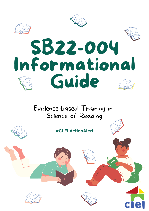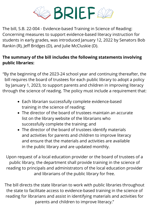

The bill, S.B. 22-004 - Evidence-based Training in Science of Reading: Concerning measures to support evidence-based literacy instruction for students in early grades, was introduced January 12, 2022 by Senators Bob Rankin (R), Jeff Bridges (D), and Julie McCluskie (D).

#### **The summary of the bill includes the following statements involving public libraries:**

"By the beginning of the 2023-24 school year and continuing thereafter, the bill requires the board of trustees for each public library to adopt a policy by January 1, 2023, to support parents and children in improving literacy through the science of reading. The policy must include a requirement that:

- Each librarian successfully complete evidence-based training in the science of reading;
- The director of the board of trustees maintain an accurate list on the library website of the librarians who successfully complete the training; and
- The director of the board of trustees identify materials and activities for parents and children to improve literacy and ensure that the materials and activities are available in the public library and are updated monthly.

Upon request of a local education provider or the board of trustees of a public library, the department shall provide training in the science of reading to principals and administrators of the local education provider and librarians of the public library for free.

The bill directs the state librarian to work with public libraries throughout the state to facilitate access to evidence-based training in the science of reading for librarians and assist in identifying materials and activities for parents and children to improve literacy."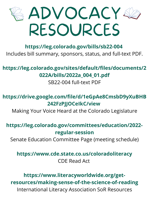

#### **<https://leg.colorado.gov/bills/sb22-004>** Includes bill summary, sponsors, status, and full-text PDF.

#### **[https://leg.colorado.gov/sites/default/files/documents/2](https://leg.colorado.gov/sites/default/files/documents/2022A/bills/2022a_004_01.pdf) 022A/bills/2022a\_004\_01.pdf**

#### SB22-004 full-text PDF

#### **[https://drive.google.com/file/d/1eGpAe8CmsbD9yXuBHB](https://drive.google.com/file/d/1eGpAe8CmsbD9yXuBHB242FzPJJOCeIkC/view) 242FzPJJOCeIkC/view**

Making Your Voice Heard at the Colorado Legislature

#### **[https://leg.colorado.gov/committees/education/2022](https://leg.colorado.gov/committees/education/2022-regular-session) regular-session**

Senate Education Committee Page (meeting schedule)

#### **<https://www.cde.state.co.us/coloradoliteracy>** CDE Read Act

#### **https://www.literacyworldwide.org/getresources/making-sense-of-the-science-of-reading** International Literacy Association SoR Resources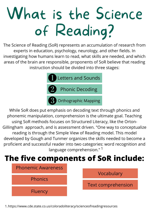# What is the Science of Reading?

The Science of Reading (SoR) represents an accumulation of research from experts in education, psychology, neurology, and other fields. In investigating how humans learn to read, what skills are needed, and which areas of the brain are responsible, proponents of SoR believe that reading instruction should be divided into three stages:



While SoR does put emphasis on decoding text through phonics and phonemic manipulation, comprehension is the ultimate goal. Teaching using SoR methods focuses on Structured Literacy, like the Orton-Gillingham approach, and is assessment driven. "One way to conceptualize reading is through the Simple View of Reading model. This model developed by Gough and Tunmer organizes the skills needed to become a proficient and successful reader into two categories: word recognition and language comprehension."<sup>1</sup>



1.https://www.cde.state.co.us/coloradoliteracy/scienceofreadingresources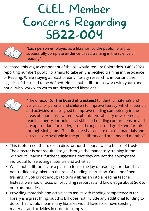## CLEL Member Concerns Regarding SB22-004



"Each person employed as a librarian by the public library to successfully complete evidence-based training in the science of reading"

As stated, this vague component of the bill would require Colorado's 3,462 (2020 reporting number) public librarians to take an unspecified training in the Science of Reading. While staying abreast of early literacy research is important, the logistics of this need to be defined. Not all public librarians work with youth and not all who work with youth are designated librarians.



"The director **(of the board of trustees)** to identify materials and activities for parents and children to improve literacy, which materials and activities are designed to improve reading competency in the areas of phonemic awareness, phonics, vocabulary development, reading fluency, including oral skills and reading comprehension and are appropriate for kindergarten through second grade and for third through sixth grade. The director shall ensure that the materials and activities are available in the public library and are updated monthly"

- This is often not the role of a director nor the purview of a board of trustees. The director is not required to go through the mandatory training in the Science of Reading, further suggesting that they are not the appropriate individual for selecting materials and activities.
- While public libraries are a place to foster the joy of reading, librarians have not traditionally taken on the role of reading instruction. One undefined training in SoR is not enough to turn a librarian into a reading teacher. Instead, we should focus on providing resources and knowledge about SoR to our communities.
- Providing materials and activities to assist with reading competency in the library is a great thing, but this bill does not include any additional funding to do so. This would mean many libraries would have to remove existing materials and activities in order to comply.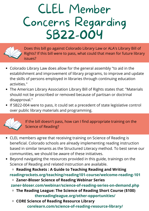## CLEL Member Concerns Regarding SB22-004



Does this bill go against Colorado Library Law or ALA's Library Bill of Rights? If this bill were to pass, what could that mean for future library issues?

- Colorado Library Law does allow for the general assembly "to aid in the establishment and improvement of library programs, to improve and update the skills of persons employed in libraries through continuing education activities."
- The American Library Association Library Bill of Rights states that: "Materials should not be proscribed or removed because of partisan or doctrinal disapproval."
- If SB22-004 were to pass, it could set a precedent of state legislative control over public library materials and programming.



If the bill doesn't pass, how can I find appropriate training on the Science of Reading?

- CLEL members agree that receiving training on Science of Reading is beneficial. Colorado schools are already implementing reading instruction based in similar tenants as the Structured Literacy method. To best serve our communities, we should be aware of these initiatives.
- Beyond navigating the resources provided in this guide, trainings on the Science of Reading and related instruction are available.

**Reading Rockets : A Guide to Teaching Reading and Writing [readingrockets.org/teaching/reading101-course/welcome-reading-101](http://readingrockets.org/teaching/reading101-course/welcome-reading-101)**

- **Zaner-Bloser Science of Reading Webinar Series [zaner-bloser.com/webinar/science-of-reading-series-on-demand.php](http://zaner-bloser.com/webinar/science-of-reading-series-on-demand.php)**
- **The Reading League: The Science of Reading Short Course (\$100) thereadingleague.org/other-opportunities/**
- **CORE Science of Reading Resource Library corelearn.com/science-of-reading-resource-library/**